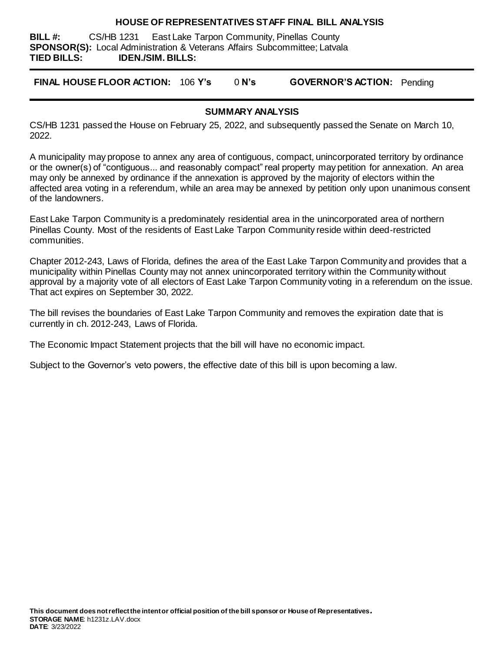#### **HOUSE OF REPRESENTATIVES STAFF FINAL BILL ANALYSIS**

**BILL #:** CS/HB 1231 East Lake Tarpon Community, Pinellas County **SPONSOR(S):** Local Administration & Veterans Affairs Subcommittee; Latvala **TIED BILLS: IDEN./SIM. BILLS:**

**FINAL HOUSE FLOOR ACTION:** 106 **Y's** 0 **N's GOVERNOR'S ACTION:** Pending

#### **SUMMARY ANALYSIS**

CS/HB 1231 passed the House on February 25, 2022, and subsequently passed the Senate on March 10, 2022.

A municipality may propose to annex any area of contiguous, compact, unincorporated territory by ordinance or the owner(s) of "contiguous... and reasonably compact" real property may petition for annexation. An area may only be annexed by ordinance if the annexation is approved by the majority of electors within the affected area voting in a referendum, while an area may be annexed by petition only upon unanimous consent of the landowners.

East Lake Tarpon Community is a predominately residential area in the unincorporated area of northern Pinellas County. Most of the residents of East Lake Tarpon Community reside within deed-restricted communities.

Chapter 2012-243, Laws of Florida, defines the area of the East Lake Tarpon Community and provides that a municipality within Pinellas County may not annex unincorporated territory within the Community without approval by a majority vote of all electors of East Lake Tarpon Community voting in a referendum on the issue. That act expires on September 30, 2022.

The bill revises the boundaries of East Lake Tarpon Community and removes the expiration date that is currently in ch. 2012-243, Laws of Florida.

The Economic Impact Statement projects that the bill will have no economic impact.

Subject to the Governor's veto powers, the effective date of this bill is upon becoming a law.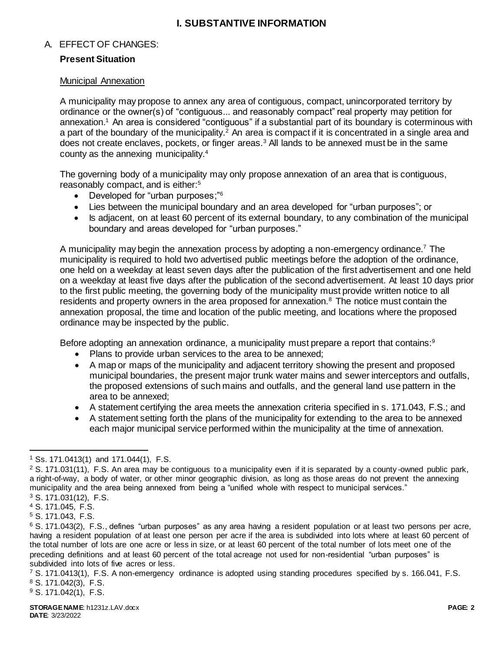# **I. SUBSTANTIVE INFORMATION**

# A. EFFECT OF CHANGES:

## **Present Situation**

#### Municipal Annexation

A municipality may propose to annex any area of contiguous, compact, unincorporated territory by ordinance or the owner(s) of "contiguous... and reasonably compact" real property may petition for annexation. <sup>1</sup> An area is considered "contiguous" if a substantial part of its boundary is coterminous with a part of the boundary of the municipality.<sup>2</sup> An area is compact if it is concentrated in a single area and does not create enclaves, pockets, or finger areas.<sup>3</sup> All lands to be annexed must be in the same county as the annexing municipality.<sup>4</sup>

The governing body of a municipality may only propose annexation of an area that is contiguous, reasonably compact, and is either:<sup>5</sup>

- Developed for "urban purposes;"<sup>6</sup>
- Lies between the municipal boundary and an area developed for "urban purposes"; or
- Is adjacent, on at least 60 percent of its external boundary, to any combination of the municipal boundary and areas developed for "urban purposes."

A municipality may begin the annexation process by adopting a non-emergency ordinance.<sup>7</sup> The municipality is required to hold two advertised public meetings before the adoption of the ordinance, one held on a weekday at least seven days after the publication of the first advertisement and one held on a weekday at least five days after the publication of the second advertisement. At least 10 days prior to the first public meeting, the governing body of the municipality must provide written notice to all residents and property owners in the area proposed for annexation.<sup>8</sup> The notice must contain the annexation proposal, the time and location of the public meeting, and locations where the proposed ordinance may be inspected by the public.

Before adopting an annexation ordinance, a municipality must prepare a report that contains: $9$ 

- Plans to provide urban services to the area to be annexed;
- A map or maps of the municipality and adjacent territory showing the present and proposed municipal boundaries, the present major trunk water mains and sewer interceptors and outfalls, the proposed extensions of such mains and outfalls, and the general land use pattern in the area to be annexed;
- A statement certifying the area meets the annexation criteria specified in s. 171.043, F.S.; and
- A statement setting forth the plans of the municipality for extending to the area to be annexed each major municipal service performed within the municipality at the time of annexation.

 $\overline{a}$ <sup>1</sup> Ss. 171.0413(1) and 171.044(1), F.S.

 $2$  S. 171.031(11), F.S. An area may be contiguous to a municipality even if it is separated by a county-owned public park, a right-of-way, a body of water, or other minor geographic division, as long as those areas do not prevent the annexing municipality and the area being annexed from being a "unified whole with respect to municipal services."

<sup>3</sup> S. 171.031(12), F.S.

<sup>4</sup> S. 171.045, F.S.

<sup>5</sup> S. 171.043, F.S.

<sup>&</sup>lt;sup>6</sup> S. 171.043(2), F.S., defines "urban purposes" as any area having a resident population or at least two persons per acre, having a resident population of at least one person per acre if the area is subdivided into lots where at least 60 percent of the total number of lots are one acre or less in size, or at least 60 percent of the total number of lots meet one of the preceding definitions and at least 60 percent of the total acreage not used for non-residential "urban purposes" is subdivided into lots of five acres or less.

<sup>7</sup> S. 171.0413(1), F.S. A non-emergency ordinance is adopted using standing procedures specified by s. 166.041, F.S. <sup>8</sup> S. 171.042(3), F.S.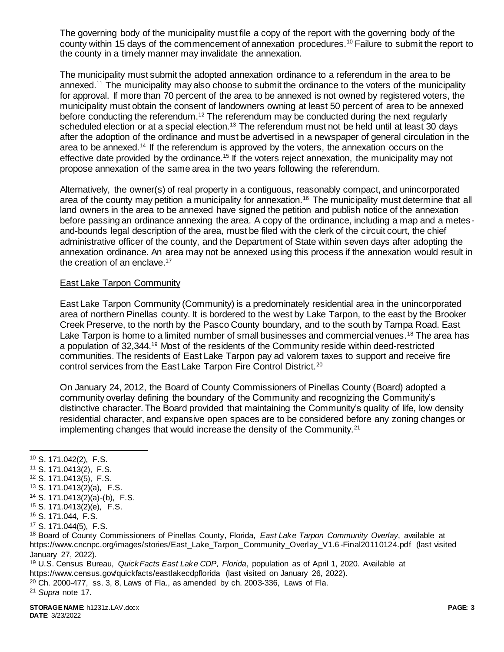The governing body of the municipality must file a copy of the report with the governing body of the county within 15 days of the commencement of annexation procedures.<sup>10</sup> Failure to submit the report to the county in a timely manner may invalidate the annexation.

The municipality must submit the adopted annexation ordinance to a referendum in the area to be annexed.<sup>11</sup> The municipality may also choose to submit the ordinance to the voters of the municipality for approval. If more than 70 percent of the area to be annexed is not owned by registered voters, the municipality must obtain the consent of landowners owning at least 50 percent of area to be annexed before conducting the referendum.<sup>12</sup> The referendum may be conducted during the next regularly scheduled election or at a special election.<sup>13</sup> The referendum must not be held until at least 30 days after the adoption of the ordinance and must be advertised in a newspaper of general circulation in the area to be annexed.<sup>14</sup> If the referendum is approved by the voters, the annexation occurs on the effective date provided by the ordinance.<sup>15</sup> If the voters reject annexation, the municipality may not propose annexation of the same area in the two years following the referendum.

Alternatively, the owner(s) of real property in a contiguous, reasonably compact, and unincorporated area of the county may petition a municipality for annexation.<sup>16</sup> The municipality must determine that all land owners in the area to be annexed have signed the petition and publish notice of the annexation before passing an ordinance annexing the area. A copy of the ordinance, including a map and a metesand-bounds legal description of the area, must be filed with the clerk of the circuit court, the chief administrative officer of the county, and the Department of State within seven days after adopting the annexation ordinance. An area may not be annexed using this process if the annexation would result in the creation of an enclave.<sup>17</sup>

## East Lake Tarpon Community

East Lake Tarpon Community (Community) is a predominately residential area in the unincorporated area of northern Pinellas county. It is bordered to the west by Lake Tarpon, to the east by the Brooker Creek Preserve, to the north by the Pasco County boundary, and to the south by Tampa Road. East Lake Tarpon is home to a limited number of small businesses and commercial venues.<sup>18</sup> The area has a population of 32,344.<sup>19</sup> Most of the residents of the Community reside within deed-restricted communities. The residents of East Lake Tarpon pay ad valorem taxes to support and receive fire control services from the East Lake Tarpon Fire Control District.<sup>20</sup>

On January 24, 2012, the Board of County Commissioners of Pinellas County (Board) adopted a community overlay defining the boundary of the Community and recognizing the Community's distinctive character. The Board provided that maintaining the Community's quality of life, low density residential character, and expansive open spaces are to be considered before any zoning changes or implementing changes that would increase the density of the Community.<sup>21</sup>

- <sup>14</sup> S. 171.0413(2)(a)-(b), F.S.
- <sup>15</sup> S. 171.0413(2)(e), F.S.
- <sup>16</sup> S. 171.044, F.S.

<sup>18</sup> Board of County Commissioners of Pinellas County, Florida, *East Lake Tarpon Community Overlay*, available at https://www.cncnpc.org/images/stories/East\_Lake\_Tarpon\_Community\_Overlay\_V1.6 -Final20110124.pdf (last visited January 27, 2022).

<sup>19</sup> U.S. Census Bureau, *QuickFacts East Lake CDP, Florida*, population as of April 1, 2020. Available at https://www.census.gov/quickfacts/eastlakecdpflorida (last visited on January 26, 2022).

 $20$  Ch. 2000-477, ss. 3, 8, Laws of Fla., as amended by ch. 2003-336, Laws of Fla.

<sup>21</sup> *Supra* note 17.

 $\overline{a}$ <sup>10</sup> S. 171.042(2), F.S.

<sup>11</sup> S. 171.0413(2), F.S.

<sup>12</sup> S. 171.0413(5), F.S.

<sup>13</sup> S. 171.0413(2)(a), F.S.

<sup>17</sup> S. 171.044(5), F.S.